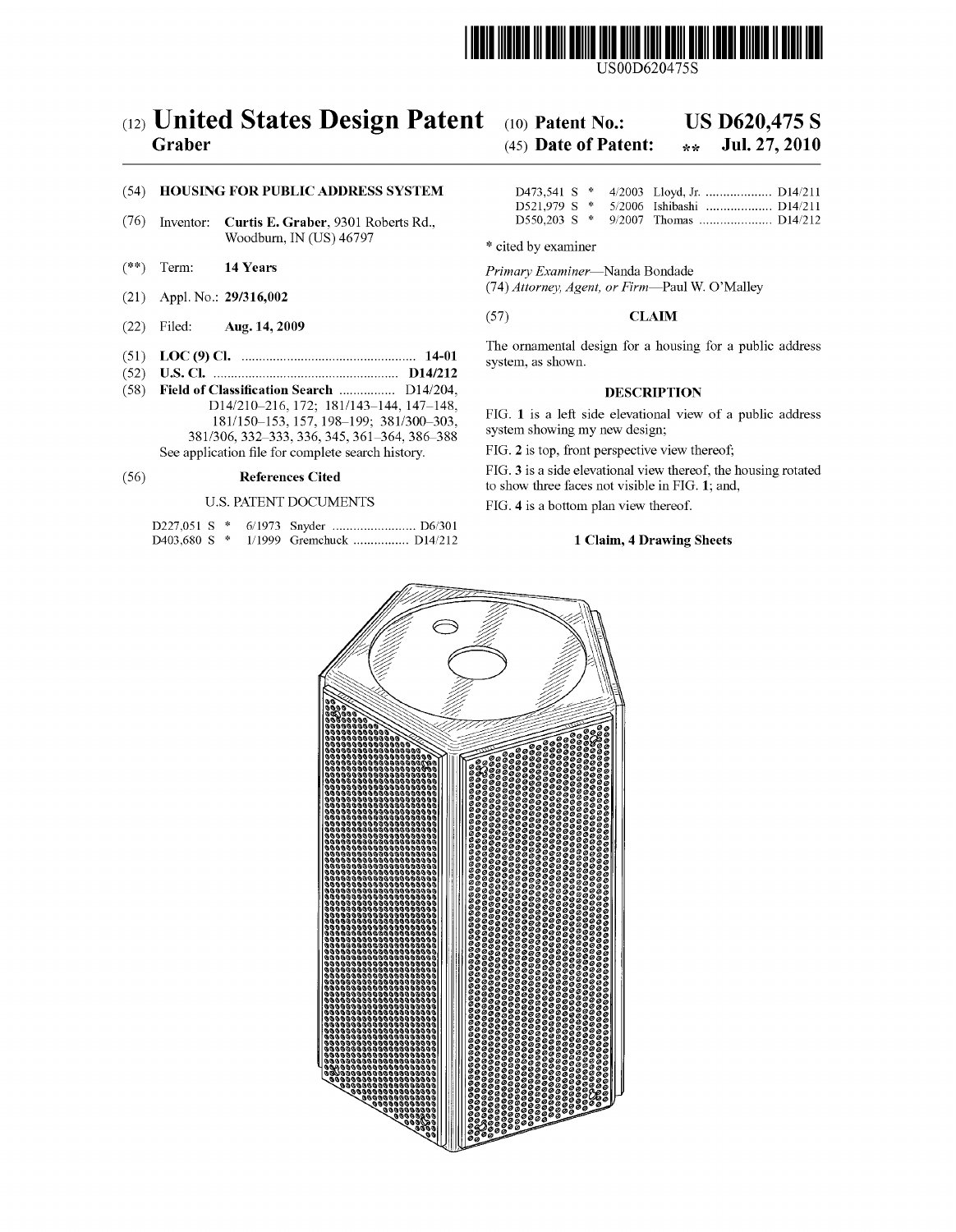

US00D620475S

# (12) United States Design Patent Graber

### $(10)$  Patent No.: **US D620,475 S**

#### (45) Date of Patent: Jul. 27, 2010  $\star$   $\star$

### (54) HOUSING FOR PUBLIC ADDRESS SYSTEM

- $(76)$ Inventor: Curtis E. Graber, 9301 Roberts Rd., Woodburn, IN (US) 46797
- $(**)$ Term: 14 Years
- (21) Appl. No.: 29/316,002
- $(22)$  Filed: Aug. 14, 2009
- 
- (58) Field of Classification Search ................ D14/204, D14/210-216, 172; 181/143-144, 147-148,
	- 181/150-153, 157, 198-199; 381/300-303, 381/306, 332-333, 336, 345, 361-364, 386-388 See application file for complete search history.

#### $(56)$ **References Cited**

### **U.S. PATENT DOCUMENTS**

|  |  | D403,680 S * 1/1999 Gremchuck  D14/212 |  |
|--|--|----------------------------------------|--|

|  |  | D521.979 S * 5/2006 Ishibashi  D14/211 |  |
|--|--|----------------------------------------|--|
|  |  |                                        |  |

\* cited by examiner

Primary Examiner-Nanda Bondade (74) Attorney, Agent, or Firm-Paul W. O'Malley

### $(57)$ **CLAIM**

The ornamental design for a housing for a public address system, as shown.

### **DESCRIPTION**

FIG. 1 is a left side elevational view of a public address system showing my new design;

FIG. 2 is top, front perspective view thereof;

FIG. 3 is a side elevational view thereof, the housing rotated to show three faces not visible in FIG. 1; and,

FIG. 4 is a bottom plan view thereof.

## 1 Claim, 4 Drawing Sheets

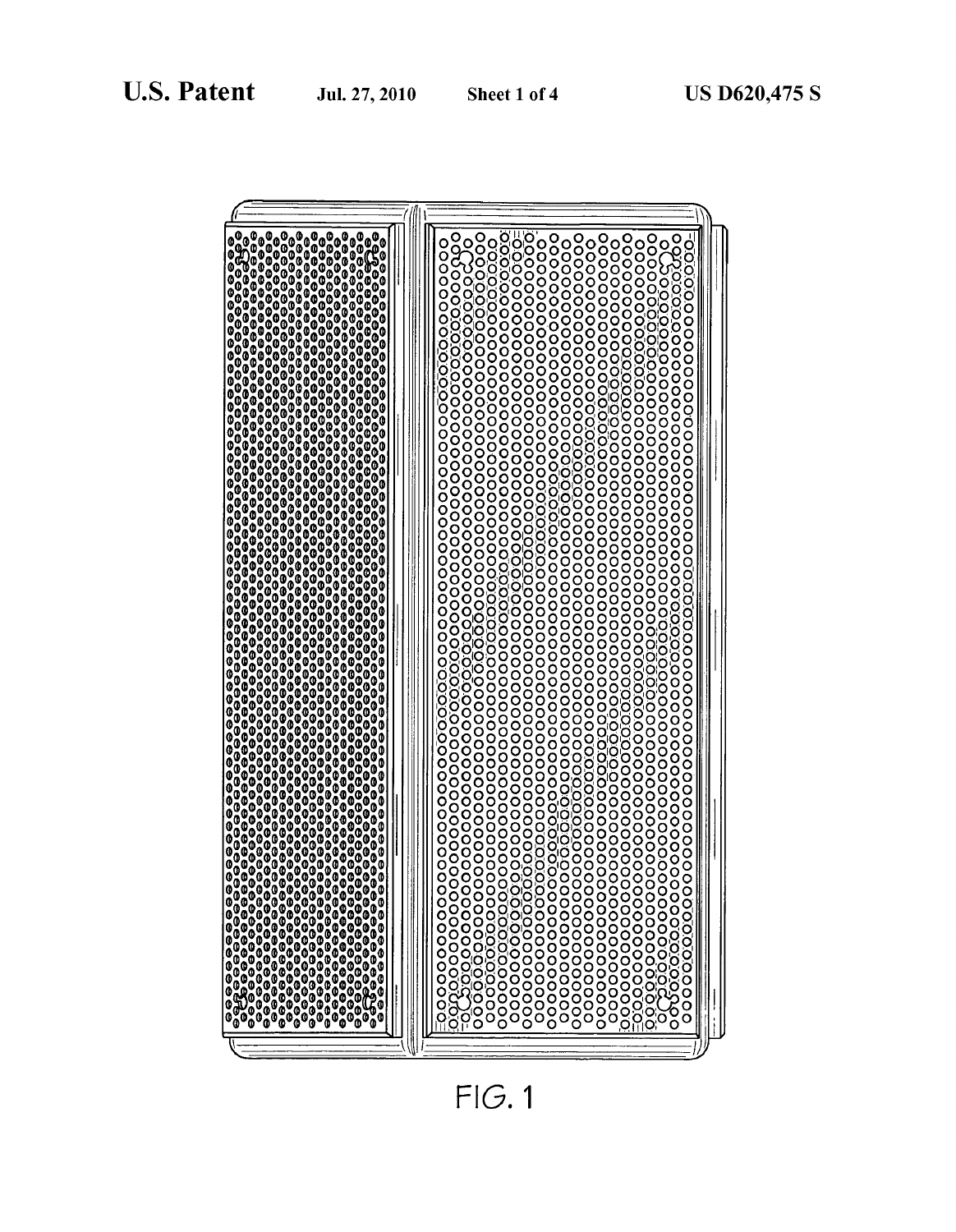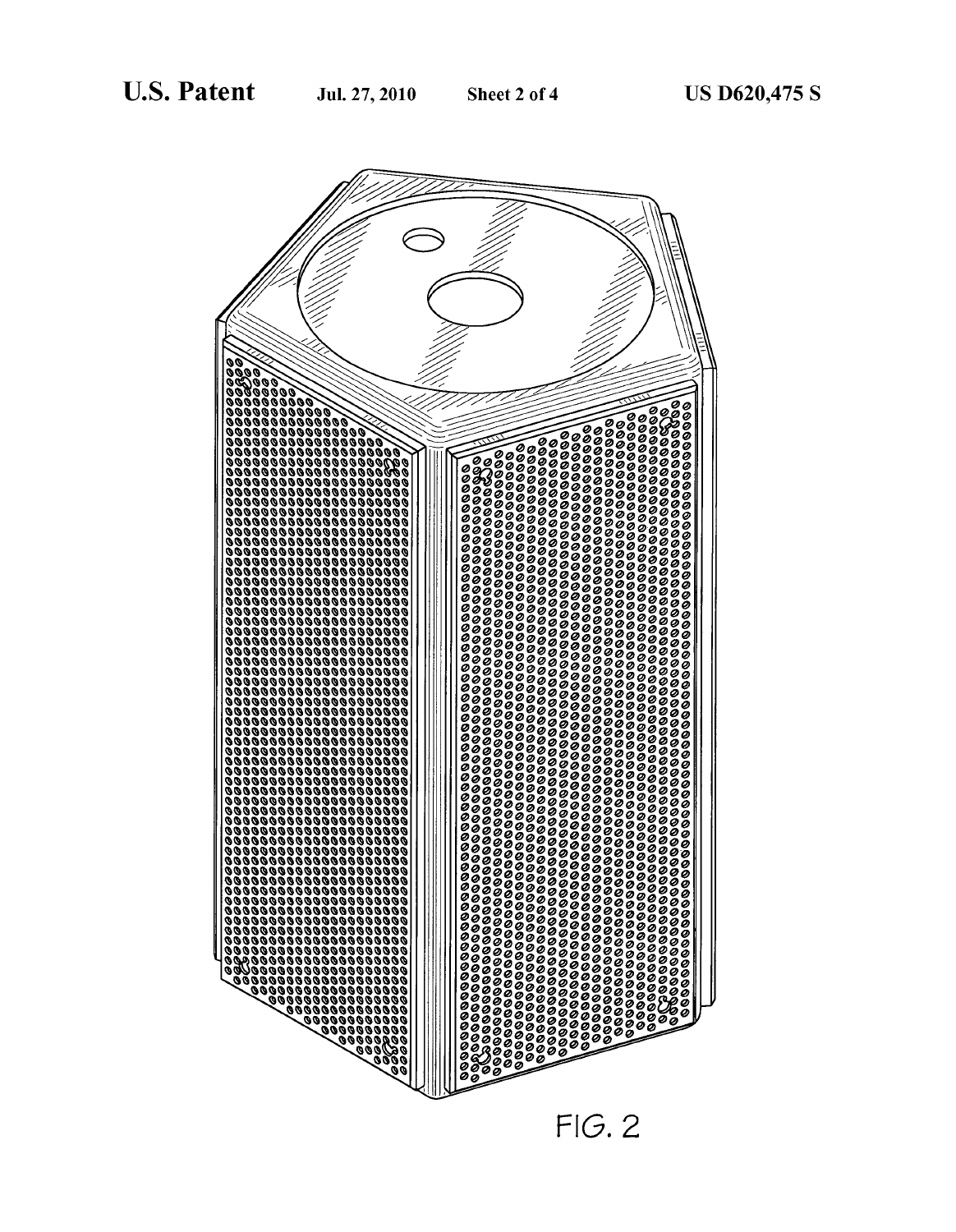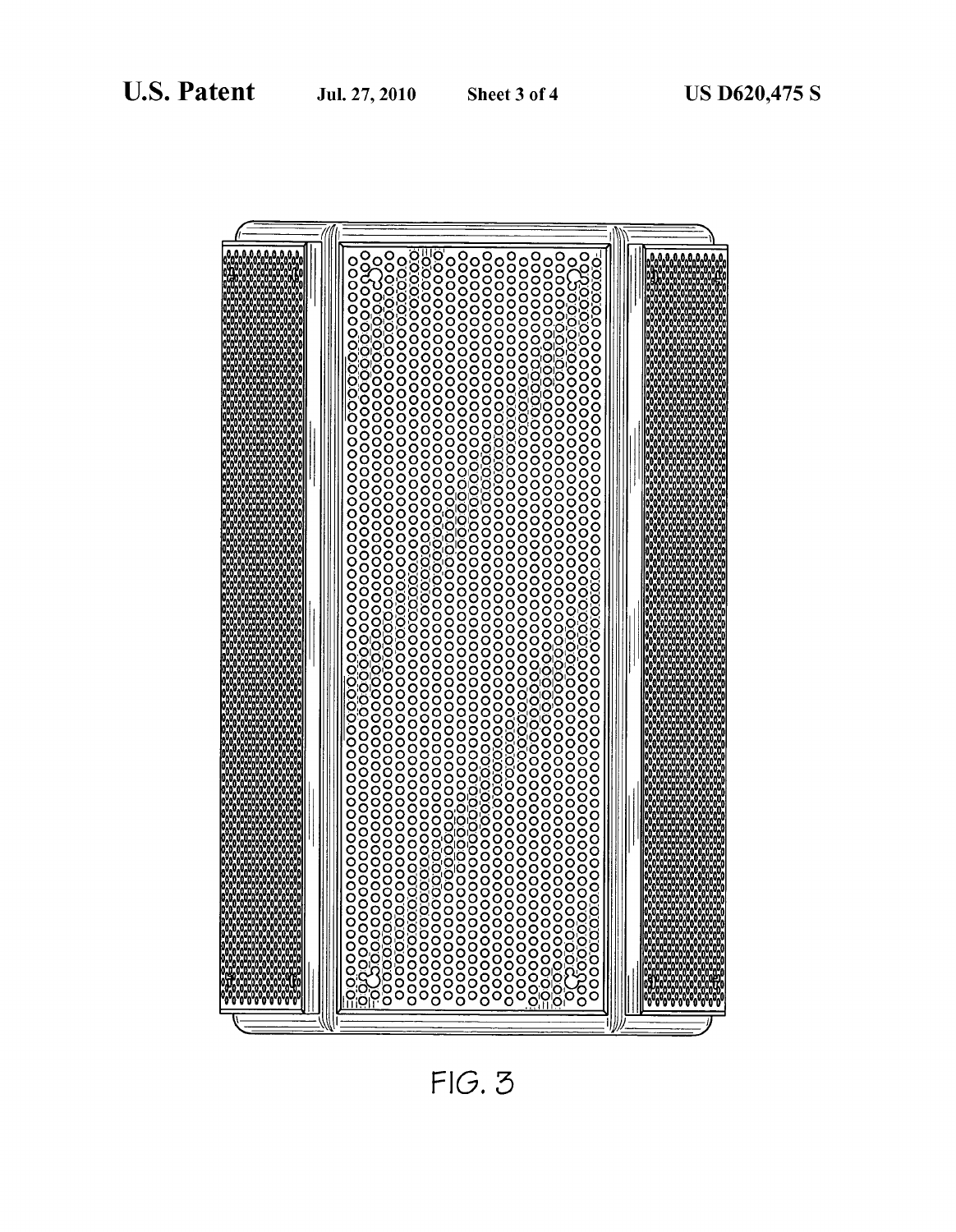

 $FIG. 3$